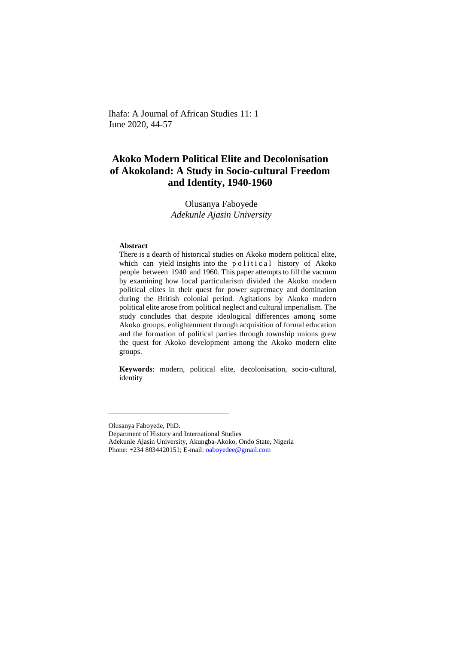Ihafa: A Journal of African Studies 11: 1 June 2020, 44-57

# **Akoko Modern Political Elite and Decolonisation of Akokoland: A Study in Socio-cultural Freedom and Identity, 1940-1960**

Olusanya Faboyede *Adekunle Ajasin University*

### **Abstract**

There is a dearth of historical studies on Akoko modern political elite, which can yield insights into the political history of Akoko people between 1940 and 1960. This paper attempts to fill the vacuum by examining how local particularism divided the Akoko modern political elites in their quest for power supremacy and domination during the British colonial period. Agitations by Akoko modern political elite arose from political neglect and cultural imperialism. The study concludes that despite ideological differences among some Akoko groups, enlightenment through acquisition of formal education and the formation of political parties through township unions grew the quest for Akoko development among the Akoko modern elite groups.

**Keywords**: modern, political elite, decolonisation, socio-cultural, identity

Department of History and International Studies

**\_\_\_\_\_\_\_\_\_\_\_\_\_\_\_\_\_\_\_\_\_\_\_\_\_\_\_\_\_\_\_\_\_\_\_**

Olusanya Faboyede, PhD.

Adekunle Ajasin University, Akungba-Akoko, Ondo State, Nigeria Phone: +234 8034420151; E-mail: [oaboyedee@gmail.com](mailto:oaboyedee@gmail.com)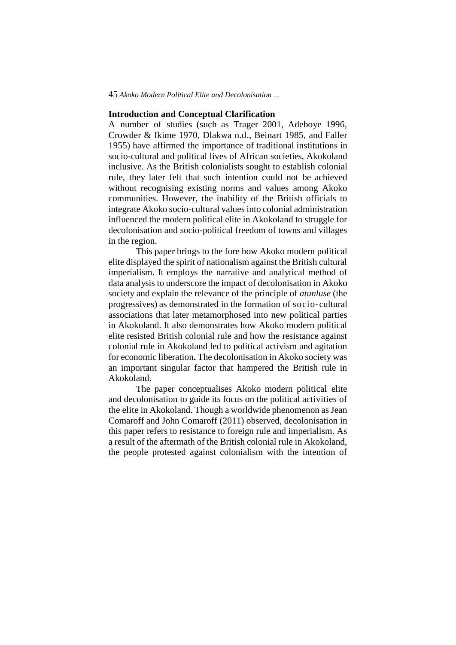### **Introduction and Conceptual Clarification**

A number of studies (such as Trager 2001, Adeboye 1996, Crowder & Ikime 1970, Dlakwa n.d., Beinart 1985, and Faller 1955) have affirmed the importance of traditional institutions in socio-cultural and political lives of African societies, Akokoland inclusive. As the British colonialists sought to establish colonial rule, they later felt that such intention could not be achieved without recognising existing norms and values among Akoko communities. However, the inability of the British officials to integrate Akoko socio-cultural values into colonial administration influenced the modern political elite in Akokoland to struggle for decolonisation and socio-political freedom of towns and villages in the region.

This paper brings to the fore how Akoko modern political elite displayed the spirit of nationalism against the British cultural imperialism. It employs the narrative and analytical method of data analysis to underscore the impact of decolonisation in Akoko society and explain the relevance of the principle of *atunluse* (the progressives) as demonstrated in the formation of socio-cultural associations that later metamorphosed into new political parties in Akokoland. It also demonstrates how Akoko modern political elite resisted British colonial rule and how the resistance against colonial rule in Akokoland led to political activism and agitation for economic liberation**.** The decolonisation in Akoko society was an important singular factor that hampered the British rule in Akokoland.

The paper conceptualises Akoko modern political elite and decolonisation to guide its focus on the political activities of the elite in Akokoland. Though a worldwide phenomenon as Jean Comaroff and John Comaroff (2011) observed, decolonisation in this paper refers to resistance to foreign rule and imperialism. As a result of the aftermath of the British colonial rule in Akokoland, the people protested against colonialism with the intention of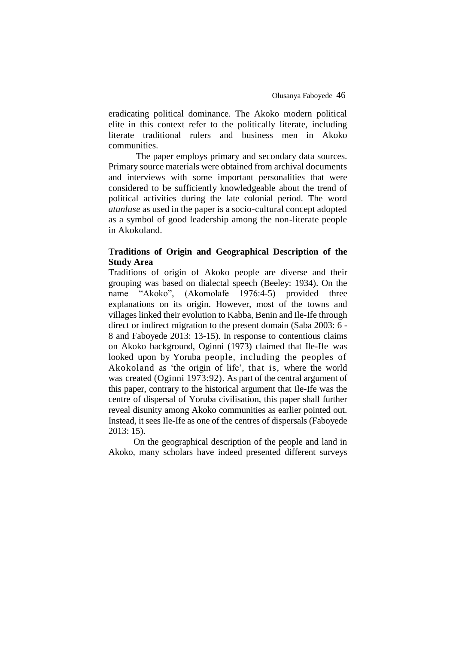eradicating political dominance. The Akoko modern political elite in this context refer to the politically literate, including literate traditional rulers and business men in Akoko communities.

The paper employs primary and secondary data sources. Primary source materials were obtained from archival documents and interviews with some important personalities that were considered to be sufficiently knowledgeable about the trend of political activities during the late colonial period. The word *atunluse* as used in the paper is a socio-cultural concept adopted as a symbol of good leadership among the non-literate people in Akokoland.

# **Traditions of Origin and Geographical Description of the Study Area**

Traditions of origin of Akoko people are diverse and their grouping was based on dialectal speech (Beeley: 1934). On the name "Akoko", (Akomolafe 1976:4-5) provided three explanations on its origin. However, most of the towns and villages linked their evolution to Kabba, Benin and Ile-Ife through direct or indirect migration to the present domain (Saba 2003: 6 - 8 and Faboyede 2013: 13-15). In response to contentious claims on Akoko background, Oginni (1973) claimed that Ile-Ife was looked upon by Yoruba people, including the peoples of Akokoland as 'the origin of life', that is, where the world was created (Oginni 1973:92). As part of the central argument of this paper, contrary to the historical argument that Ile-Ife was the centre of dispersal of Yoruba civilisation, this paper shall further reveal disunity among Akoko communities as earlier pointed out. Instead, it sees Ile-Ife as one of the centres of dispersals (Faboyede 2013: 15).

On the geographical description of the people and land in Akoko, many scholars have indeed presented different surveys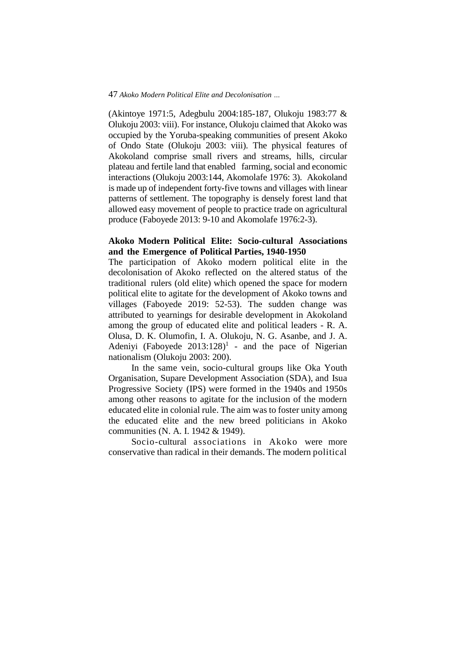(Akintoye 1971:5, Adegbulu 2004:185-187, Olukoju 1983:77 & Olukoju 2003: viii). For instance, Olukoju claimed that Akoko was occupied by the Yoruba-speaking communities of present Akoko of Ondo State (Olukoju 2003: viii). The physical features of Akokoland comprise small rivers and streams, hills, circular plateau and fertile land that enabled farming, social and economic interactions (Olukoju 2003:144, Akomolafe 1976: 3). Akokoland is made up of independent forty-five towns and villages with linear patterns of settlement. The topography is densely forest land that allowed easy movement of people to practice trade on agricultural produce (Faboyede 2013: 9-10 and Akomolafe 1976:2-3).

## **Akoko Modern Political Elite: Socio-cultural Associations and the Emergence of Political Parties, 1940-1950**

The participation of Akoko modern political elite in the decolonisation of Akoko reflected on the altered status of the traditional rulers (old elite) which opened the space for modern political elite to agitate for the development of Akoko towns and villages (Faboyede 2019: 52-53). The sudden change was attributed to yearnings for desirable development in Akokoland among the group of educated elite and political leaders - R. A. Olusa, D. K. Olumofin, I. A. Olukoju, N. G. Asanbe, and J. A. Adeniyi (Faboyede  $2013:128$ <sup>1</sup> - and the pace of Nigerian nationalism (Olukoju 2003: 200).

In the same vein, socio-cultural groups like Oka Youth Organisation, Supare Development Association (SDA), and Isua Progressive Society (IPS) were formed in the 1940s and 1950s among other reasons to agitate for the inclusion of the modern educated elite in colonial rule. The aim was to foster unity among the educated elite and the new breed politicians in Akoko communities (N. A. I. 1942 & 1949).

Socio-cultural associations in Akoko were more conservative than radical in their demands. The modern political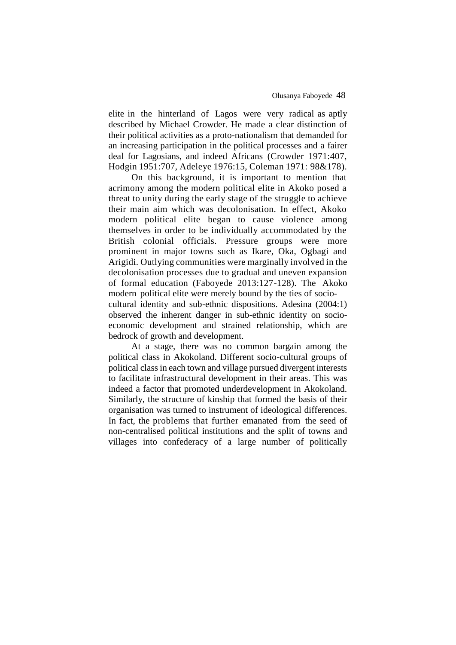elite in the hinterland of Lagos were very radical as aptly described by Michael Crowder. He made a clear distinction of their political activities as a proto-nationalism that demanded for an increasing participation in the political processes and a fairer deal for Lagosians, and indeed Africans (Crowder 1971:407, Hodgin 1951:707, Adeleye 1976:15, Coleman 1971: 98&178).

On this background, it is important to mention that acrimony among the modern political elite in Akoko posed a threat to unity during the early stage of the struggle to achieve their main aim which was decolonisation. In effect, Akoko modern political elite began to cause violence among themselves in order to be individually accommodated by the British colonial officials. Pressure groups were more prominent in major towns such as Ikare, Oka, Ogbagi and Arigidi. Outlying communities were marginally involved in the decolonisation processes due to gradual and uneven expansion of formal education (Faboyede 2013:127-128). The Akoko modern political elite were merely bound by the ties of sociocultural identity and sub-ethnic dispositions. Adesina (2004:1) observed the inherent danger in sub-ethnic identity on socioeconomic development and strained relationship, which are bedrock of growth and development.

At a stage, there was no common bargain among the political class in Akokoland. Different socio-cultural groups of political class in each town and village pursued divergent interests to facilitate infrastructural development in their areas. This was indeed a factor that promoted underdevelopment in Akokoland. Similarly, the structure of kinship that formed the basis of their organisation was turned to instrument of ideological differences. In fact, the problems that further emanated from the seed of non-centralised political institutions and the split of towns and villages into confederacy of a large number of politically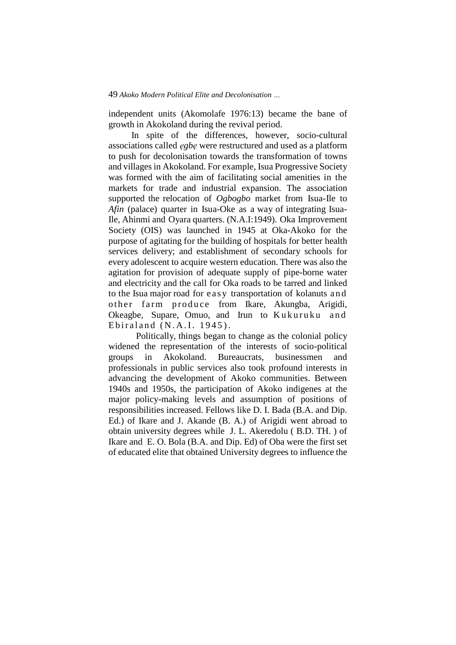independent units (Akomolafe 1976:13) became the bane of growth in Akokoland during the revival period.

In spite of the differences, however, socio-cultural associations called *ẹgbẹ* were restructured and used as a platform to push for decolonisation towards the transformation of towns and villages in Akokoland. For example, Isua Progressive Society was formed with the aim of facilitating social amenities in the markets for trade and industrial expansion. The association supported the relocation of *Ogbogbo* market from Isua-Ile to *Afin* (palace) quarter in Isua-Oke as a way of integrating Isua-Ile, Ahinmi and Oyara quarters. (N.A.I:1949). Oka Improvement Society (OIS) was launched in 1945 at Oka-Akoko for the purpose of agitating for the building of hospitals for better health services delivery; and establishment of secondary schools for every adolescent to acquire western education. There was also the agitation for provision of adequate supply of pipe-borne water and electricity and the call for Oka roads to be tarred and linked to the Isua major road for easy transportation of kolanuts and other farm produce from Ikare, Akungba, Arigidi, Okeagbe, Supare, Omuo, and Irun to Kukuruku and Ebiraland  $(N.A.I. 1945)$ .

Politically, things began to change as the colonial policy widened the representation of the interests of socio-political groups in Akokoland. Bureaucrats, businessmen and professionals in public services also took profound interests in advancing the development of Akoko communities. Between 1940s and 1950s, the participation of Akoko indigenes at the major policy-making levels and assumption of positions of responsibilities increased. Fellows like D. I. Bada (B.A. and Dip. Ed.) of Ikare and J. Akande (B. A.) of Arigidi went abroad to obtain university degrees while J. L. Akeredolu ( B.D. TH. ) of Ikare and E. O. Bola (B.A. and Dip. Ed) of Oba were the first set of educated elite that obtained University degrees to influence the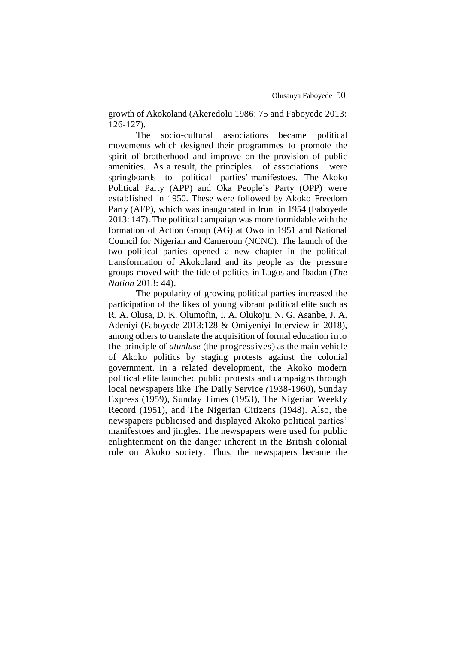growth of Akokoland (Akeredolu 1986: 75 and Faboyede 2013: 126-127).

The socio-cultural associations became political movements which designed their programmes to promote the spirit of brotherhood and improve on the provision of public amenities. As a result, the principles of associations were springboards to political parties' manifestoes. The Akoko Political Party (APP) and Oka People's Party (OPP) were established in 1950. These were followed by Akoko Freedom Party (AFP), which was inaugurated in Irun in 1954 (Faboyede 2013: 147). The political campaign was more formidable with the formation of Action Group (AG) at Owo in 1951 and National Council for Nigerian and Cameroun (NCNC). The launch of the two political parties opened a new chapter in the political transformation of Akokoland and its people as the pressure groups moved with the tide of politics in Lagos and Ibadan (*The Nation* 2013: 44).

The popularity of growing political parties increased the participation of the likes of young vibrant political elite such as R. A. Olusa, D. K. Olumofin, I. A. Olukoju, N. G. Asanbe, J. A. Adeniyi (Faboyede 2013:128 & Omiyeniyi Interview in 2018), among others to translate the acquisition of formal education into the principle of *atunluse* (the progressives) as the main vehicle of Akoko politics by staging protests against the colonial government. In a related development, the Akoko modern political elite launched public protests and campaigns through local newspapers like The Daily Service *(*1938-1960), Sunday Express (1959), Sunday Times (1953), The Nigerian Weekly Record (1951), and The Nigerian Citizens (1948). Also, the newspapers publicised and displayed Akoko political parties' manifestoes and jingles*.* The newspapers were used for public enlightenment on the danger inherent in the British colonial rule on Akoko society. Thus, the newspapers became the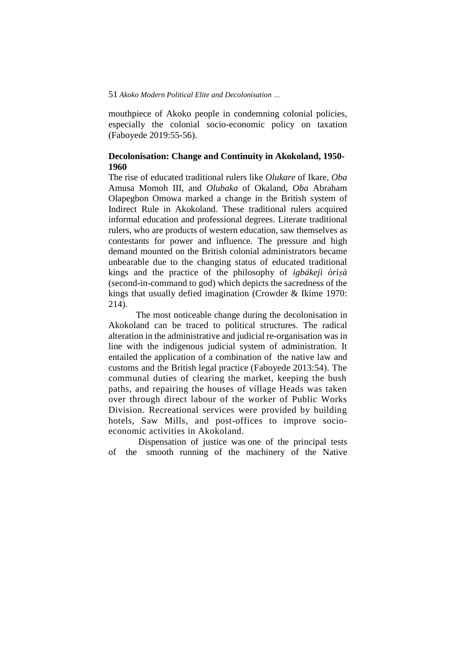mouthpiece of Akoko people in condemning colonial policies, especially the colonial socio-economic policy on taxation (Faboyede 2019:55-56).

# **Decolonisation: Change and Continuity in Akokoland, 1950- 1960**

The rise of educated traditional rulers like *Olukare* of Ikare, *Oba*  Amusa Momoh III, and *Olubaka* of Okaland, *Oba* Abraham Olapegbon Omowa marked a change in the British system of Indirect Rule in Akokoland. These traditional rulers acquired informal education and professional degrees. Literate traditional rulers, who are products of western education, saw themselves as contestants for power and influence. The pressure and high demand mounted on the British colonial administrators became unbearable due to the changing status of educated traditional kings and the practice of the philosophy of *igbákejì òrìṣà* (second-in-command to god) which depicts the sacredness of the kings that usually defied imagination (Crowder & Ikime 1970: 214).

The most noticeable change during the decolonisation in Akokoland can be traced to political structures. The radical alteration in the administrative and judicial re-organisation was in line with the indigenous judicial system of administration. It entailed the application of a combination of the native law and customs and the British legal practice (Faboyede 2013:54). The communal duties of clearing the market, keeping the bush paths, and repairing the houses of village Heads was taken over through direct labour of the worker of Public Works Division. Recreational services were provided by building hotels, Saw Mills, and post-offices to improve socioeconomic activities in Akokoland.

Dispensation of justice was one of the principal tests of the smooth running of the machinery of the Native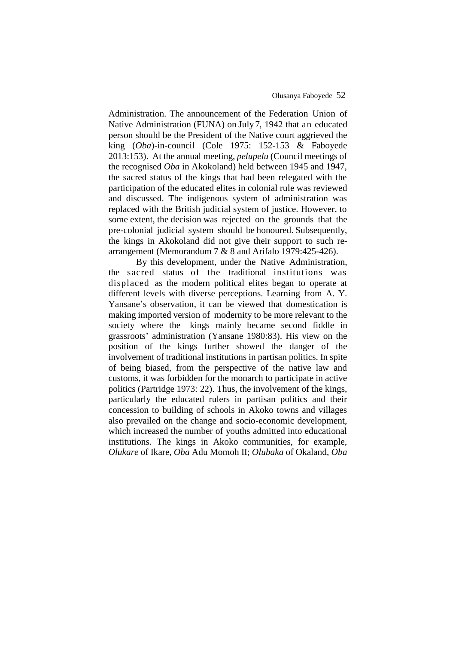### Olusanya Faboyede 52

Administration. The announcement of the Federation Union of Native Administration (FUNA) on July 7, 1942 that an educated person should be the President of the Native court aggrieved the king (*Oba*)*-*in-council (Cole 1975: 152-153 & Faboyede 2013:153).At the annual meeting, *pelupelu* (Council meetings of the recognised *Oba* in Akokoland) held between 1945 and 1947, the sacred status of the kings that had been relegated with the participation of the educated elites in colonial rule was reviewed and discussed. The indigenous system of administration was replaced with the British judicial system of justice. However, to some extent, the decision was rejected on the grounds that the pre-colonial judicial system should be honoured. Subsequently, the kings in Akokoland did not give their support to such rearrangement (Memorandum 7 & 8 and Arifalo 1979:425-426).

By this development, under the Native Administration, the sacred status of the traditional institutions was displaced as the modern political elites began to operate at different levels with diverse perceptions. Learning from A. Y. Yansane's observation, it can be viewed that domestication is making imported version of modernity to be more relevant to the society where the kings mainly became second fiddle in grassroots' administration (Yansane 1980:83). His view on the position of the kings further showed the danger of the involvement of traditional institutions in partisan politics. In spite of being biased, from the perspective of the native law and customs, it was forbidden for the monarch to participate in active politics (Partridge 1973: 22). Thus, the involvement of the kings, particularly the educated rulers in partisan politics and their concession to building of schools in Akoko towns and villages also prevailed on the change and socio-economic development, which increased the number of youths admitted into educational institutions. The kings in Akoko communities, for example, *Olukare* of Ikare, *Oba* Adu Momoh II; *Olubaka* of Okaland, *Oba*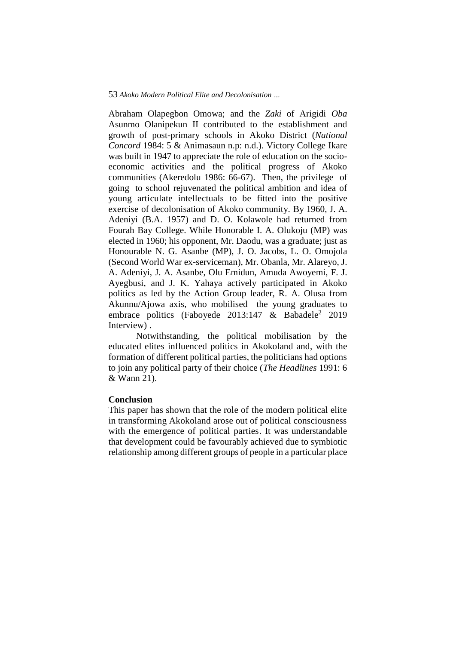Abraham Olapegbon Omowa; and the *Zaki* of Arigidi *Oba*  Asunmo Olanipekun II contributed to the establishment and growth of post-primary schools in Akoko District (*National Concord* 1984: 5 & Animasaun n.p: n.d.). Victory College Ikare was built in 1947 to appreciate the role of education on the socioeconomic activities and the political progress of Akoko communities (Akeredolu 1986: 66-67). Then, the privilege of going to school rejuvenated the political ambition and idea of young articulate intellectuals to be fitted into the positive exercise of decolonisation of Akoko community. By 1960, J. A. Adeniyi (B.A. 1957) and D. O. Kolawole had returned from Fourah Bay College. While Honorable I. A. Olukoju (MP) was elected in 1960; his opponent, Mr. Daodu, was a graduate; just as Honourable N. G. Asanbe (MP), J. O. Jacobs, L. O. Omojola (Second World War ex-serviceman), Mr. Obanla, Mr. Alareyo, J. A. Adeniyi, J. A. Asanbe, Olu Emidun, Amuda Awoyemi, F. J. Ayegbusi, and J. K. Yahaya actively participated in Akoko politics as led by the Action Group leader, R. A. Olusa from Akunnu/Ajowa axis, who mobilised the young graduates to embrace politics (Faboyede 2013:147 & Babadele<sup>2</sup> 2019 Interview) .

Notwithstanding, the political mobilisation by the educated elites influenced politics in Akokoland and, with the formation of different political parties, the politicians had options to join any political party of their choice (*The Headlines* 1991: 6 & Wann 21).

### **Conclusion**

This paper has shown that the role of the modern political elite in transforming Akokoland arose out of political consciousness with the emergence of political parties. It was understandable that development could be favourably achieved due to symbiotic relationship among different groups of people in a particular place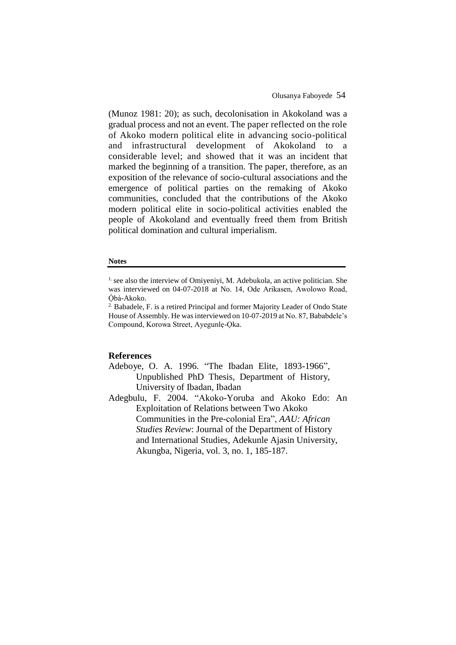(Munoz 1981: 20); as such, decolonisation in Akokoland was a gradual process and not an event. The paper reflected on the role of Akoko modern political elite in advancing socio-political and infrastructural development of Akokoland to a considerable level; and showed that it was an incident that marked the beginning of a transition. The paper, therefore, as an exposition of the relevance of socio-cultural associations and the emergence of political parties on the remaking of Akoko communities, concluded that the contributions of the Akoko modern political elite in socio-political activities enabled the people of Akokoland and eventually freed them from British political domination and cultural imperialism.

#### **Notes**

### **References**

- Adeboye, O. A. 1996. "The Ibadan Elite, 1893-1966", Unpublished PhD Thesis, Department of History, University of Ibadan, Ibadan
- Adegbulu, F. 2004. "Akoko-Yoruba and Akoko Edo: An Exploitation of Relations between Two Akoko Communities in the Pre-colonial Era", *AAU: African Studies Review*: Journal of the Department of History and International Studies, Adekunle Ajasin University, Akungba, Nigeria, vol. 3, no. 1, 185-187.

 $<sup>1</sup>$  see also the interview of Omiyeniyi, M. Adebukola, an active politician. She</sup> was interviewed on 04-07-2018 at No. 14, Ode Arikasen, Awolowo Road, Òbà-Akoko.

<sup>&</sup>lt;sup>2.</sup> Babadele, F. is a retired Principal and former Majority Leader of Ondo State House of Assembly. He was interviewed on 10-07-2019 at No. 87, Bababdele's Compound, Korowa Street, Ayegunlẹ-Ọka.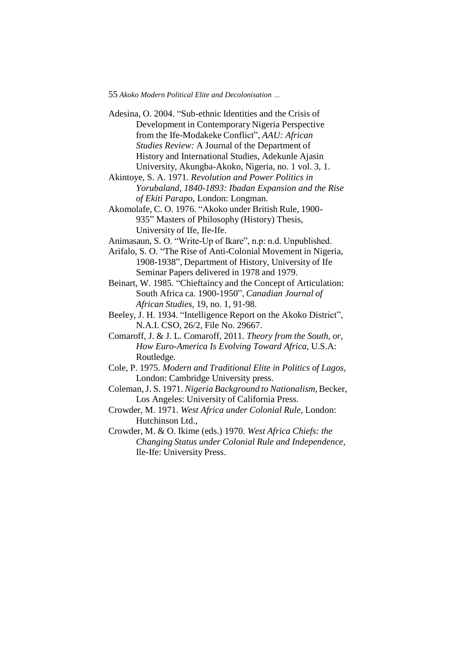Adesina, O. 2004. "Sub-ethnic Identities and the Crisis of Development in Contemporary Nigeria Perspective from the Ife-Modakeke Conflict", *AAU: African Studies Review:* A Journal of the Department of History and International Studies, Adekunle Ajasin University, Akungba-Akoko, Nigeria, no. 1 vol. 3, 1.

Akintoye, S. A. 1971. *Revolution and Power Politics in Yorubaland, 1840-1893: Ibadan Expansion and the Rise of Ekiti Parapo,* London: Longman.

Akomolafe, C. O. 1976. "Akoko under British Rule, 1900- 935" Masters of Philosophy (History) Thesis, University of Ife, Ile-Ife.

Animasaun, S. O. "Write-Up of Ikare", n.p: n.d. Unpublished.

Arifalo, S. O. "The Rise of Anti-Colonial Movement in Nigeria, 1908-1938", Department of History, University of Ife Seminar Papers delivered in 1978 and 1979.

Beinart, W. 1985. "Chieftaincy and the Concept of Articulation: South Africa ca. 1900-1950", *Canadian Journal of African Studies,* 19, no. 1, 91-98.

Beeley, J. H. 1934. "Intelligence Report on the Akoko District", N.A.I. CSO, 26/2, File No. 29667.

Comaroff, J. & J. L. Comaroff, 2011. *Theory from the South, or, How Euro-America Is Evolving Toward Africa,* U.S.A: Routledge.

Cole, P. 1975. *Modern and Traditional Elite in Politics of Lagos,*  London: Cambridge University press.

Coleman,J. S. 1971. *Nigeria Background to Nationalism*,Becker, Los Angeles: University of California Press.

Crowder, M. 1971. *West Africa under Colonial Rule,* London: Hutchinson Ltd.,

Crowder, M. & O. Ikime (eds.) 1970. *West Africa Chiefs: the Changing Status under Colonial Rule and Independence,* Ile-Ife: University Press.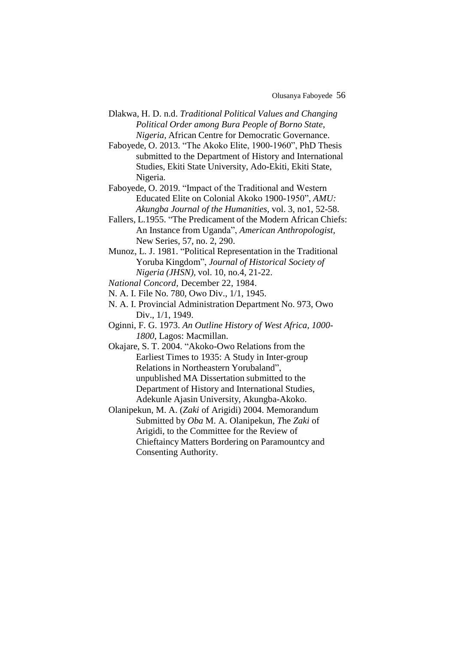Olusanya Faboyede 56

Dlakwa, H. D. n.d. *Traditional Political Values and Changing Political Order among Bura People of Borno State, Nigeria,* African Centre for Democratic Governance.

Faboyede, O. 2013. "The Akoko Elite, 1900-1960", PhD Thesis submitted to the Department of History and International Studies, Ekiti State University, Ado-Ekiti, Ekiti State, Nigeria.

Faboyede, O. 2019. "Impact of the Traditional and Western Educated Elite on Colonial Akoko 1900-1950", *AMU: Akungba Journal of the Humanities,* vol. 3, no1, 52-58.

Fallers, L.1955. "The Predicament of the Modern African Chiefs: An Instance from Uganda", *American Anthropologist,* New Series, 57, no. 2, 290.

Munoz, L. J. 1981. "Political Representation in the Traditional Yoruba Kingdom", *Journal of Historical Society of Nigeria (JHSN),* vol. 10, no.4, 21-22.

*National Concord,* December 22, 1984.

N. A. I. File No. 780, Owo Div., 1/1, 1945.

N. A. I. Provincial Administration Department No. 973, Owo Div., 1/1, 1949.

Oginni, F. G. 1973. *An Outline History of West Africa, 1000- 1800*, Lagos: Macmillan.

Okajare, S. T. 2004. "Akoko-Owo Relations from the Earliest Times to 1935: A Study in Inter-group Relations in Northeastern Yorubaland", unpublished MA Dissertation submitted to the Department of History and International Studies, Adekunle Ajasin University, Akungba-Akoko.

Olanipekun, M. A. (*Zaki* of Arigidi) 2004. Memorandum Submitted by *Oba* M. A. Olanipekun*, T*he *Zaki* of Arigidi, to the Committee for the Review of Chieftaincy Matters Bordering on Paramountcy and Consenting Authority.